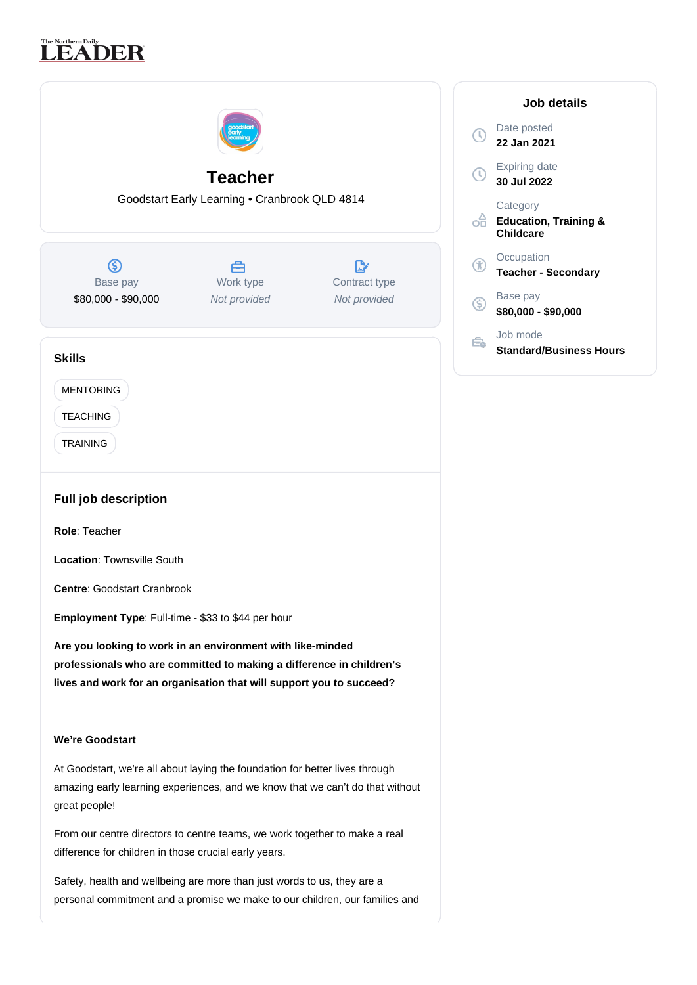# The Northern Daily<br>LEADER

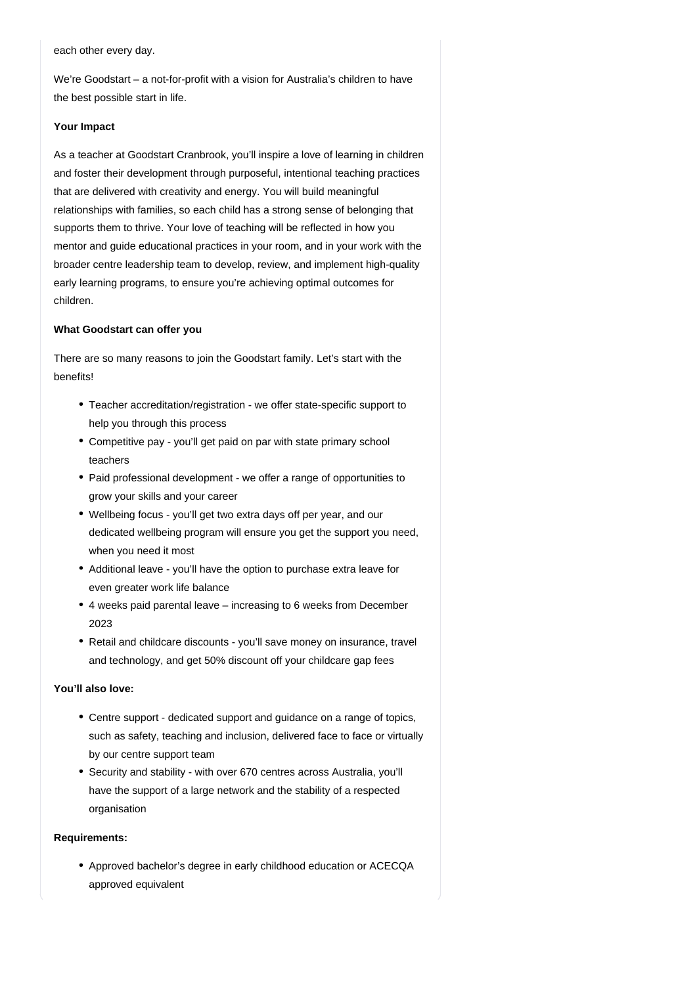each other every day.

We're Goodstart – a not-for-profit with a vision for Australia's children to have the best possible start in life.

## **Your Impact**

As a teacher at Goodstart Cranbrook, you'll inspire a love of learning in children and foster their development through purposeful, intentional teaching practices that are delivered with creativity and energy. You will build meaningful relationships with families, so each child has a strong sense of belonging that supports them to thrive. Your love of teaching will be reflected in how you mentor and guide educational practices in your room, and in your work with the broader centre leadership team to develop, review, and implement high-quality early learning programs, to ensure you're achieving optimal outcomes for children.

## **What Goodstart can offer you**

There are so many reasons to join the Goodstart family. Let's start with the benefits!

- Teacher accreditation/registration we offer state-specific support to help you through this process
- Competitive pay you'll get paid on par with state primary school teachers
- Paid professional development we offer a range of opportunities to grow your skills and your career
- Wellbeing focus you'll get two extra days off per year, and our dedicated wellbeing program will ensure you get the support you need, when you need it most
- Additional leave you'll have the option to purchase extra leave for even greater work life balance
- 4 weeks paid parental leave increasing to 6 weeks from December 2023
- Retail and childcare discounts you'll save money on insurance, travel and technology, and get 50% discount off your childcare gap fees

# **You'll also love:**

- Centre support dedicated support and guidance on a range of topics, such as safety, teaching and inclusion, delivered face to face or virtually by our centre support team
- Security and stability with over 670 centres across Australia, you'll have the support of a large network and the stability of a respected organisation

# **Requirements:**

Approved bachelor's degree in early childhood education or ACECQA approved equivalent